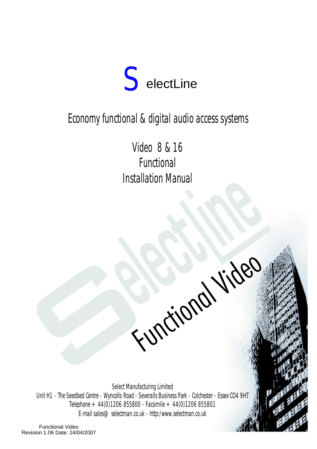

# Economy functional & digital audio access systems

Video 8 & 16 Functional Installation Manual

Functional Video

Select Manufacturing Limited Unit H1 - The Seedbed Centre - Wyncolls Road - Severalls Business Park - Colchester - Essex CO4 9HT Telephone  $+44(0)1206855800$  - Facsimile  $+44(0)1206855801$ E-mail sales@selectman.co.uk - http:/www.selectman.co.uk

 $\overline{\phantom{a}}$ 

Functional Video Revision 1.06 Date: 24/04/2007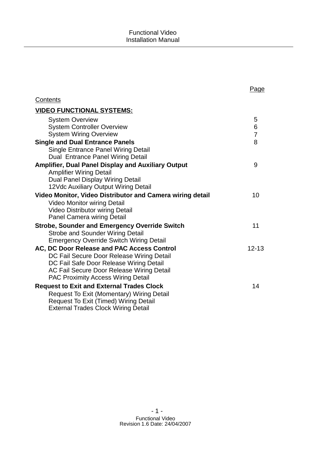| Contents                                                                                                                                                                                                                     |                          |
|------------------------------------------------------------------------------------------------------------------------------------------------------------------------------------------------------------------------------|--------------------------|
| <b>VIDEO FUNCTIONAL SYSTEMS:</b>                                                                                                                                                                                             |                          |
| <b>System Overview</b><br><b>System Controller Overview</b><br><b>System Wiring Overview</b>                                                                                                                                 | 5<br>6<br>$\overline{7}$ |
| <b>Single and Dual Entrance Panels</b><br>Single Entrance Panel Wiring Detail<br>Dual Entrance Panel Wiring Detail                                                                                                           | 8                        |
| Amplifier, Dual Panel Display and Auxiliary Output<br><b>Amplifier Wiring Detail</b><br>Dual Panel Display Wiring Detail<br>12Vdc Auxiliary Output Wiring Detail                                                             | 9                        |
| Video Monitor, Video Distributor and Camera wiring detail<br><b>Video Monitor wiring Detail</b><br>Video Distributor wiring Detail<br><b>Panel Camera wiring Detail</b>                                                      | 10                       |
| <b>Strobe, Sounder and Emergency Override Switch</b><br><b>Strobe and Sounder Wiring Detail</b><br><b>Emergency Override Switch Wiring Detail</b>                                                                            | 11                       |
| AC, DC Door Release and PAC Access Control<br>DC Fail Secure Door Release Wiring Detail<br>DC Fail Safe Door Release Wiring Detail<br>AC Fail Secure Door Release Wiring Detail<br><b>PAC Proximity Access Wiring Detail</b> | $12 - 13$                |
| <b>Request to Exit and External Trades Clock</b><br>Request To Exit (Momentary) Wiring Detail<br><b>Request To Exit (Timed) Wiring Detail</b><br><b>External Trades Clock Wiring Detail</b>                                  | 14                       |

# Page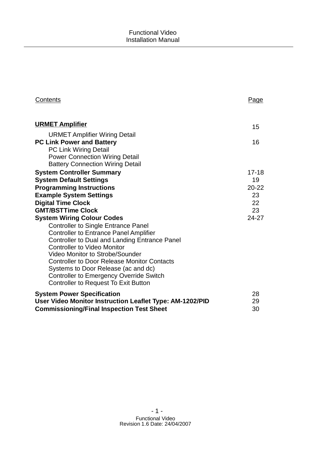| Contents                                                              | Page            |
|-----------------------------------------------------------------------|-----------------|
| <b>URMET Amplifier</b>                                                | 15              |
| <b>URMET Amplifier Wiring Detail</b>                                  |                 |
| <b>PC Link Power and Battery</b>                                      | 16              |
| PC Link Wiring Detail                                                 |                 |
| <b>Power Connection Wiring Detail</b>                                 |                 |
| <b>Battery Connection Wiring Detail</b>                               |                 |
| <b>System Controller Summary</b>                                      | 17-18           |
| <b>System Default Settings</b>                                        | 19              |
| <b>Programming Instructions</b>                                       | $20 - 22$       |
| <b>Example System Settings</b>                                        | 23              |
| <b>Digital Time Clock</b>                                             | 22 <sub>2</sub> |
| <b>GMT/BSTTime Clock</b>                                              | 23              |
| <b>System Wiring Colour Codes</b>                                     | 24-27           |
| <b>Controller to Single Entrance Panel</b>                            |                 |
| <b>Controller to Entrance Panel Amplifier</b>                         |                 |
| <b>Controller to Dual and Landing Entrance Panel</b>                  |                 |
| <b>Controller to Video Monitor</b><br>Video Monitor to Strobe/Sounder |                 |
| <b>Controller to Door Release Monitor Contacts</b>                    |                 |
| Systems to Door Release (ac and dc)                                   |                 |
| <b>Controller to Emergency Override Switch</b>                        |                 |
| Controller to Request To Exit Button                                  |                 |
|                                                                       |                 |
| <b>System Power Specification</b>                                     | 28              |
| User Video Monitor Instruction Leaflet Type: AM-1202/PID              | 29              |
| <b>Commissioning/Final Inspection Test Sheet</b>                      | 30              |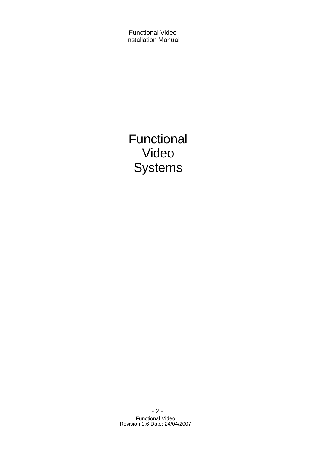Functional Video **Systems**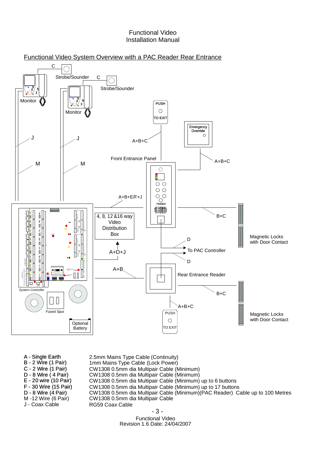



| A - Single Earth      | 2.5mm Mains Type Cable (Continuity)                                            |  |  |  |  |
|-----------------------|--------------------------------------------------------------------------------|--|--|--|--|
| B - 2 Wire (1 Pair)   | 1mm Mains Type Cable (Lock Power)                                              |  |  |  |  |
| C - 2 Wire (1 Pair)   | CW1308 0.5mm dia Multipair Cable (Minimum)                                     |  |  |  |  |
| D - 8 Wire (4 Pair)   | CW1308 0.5mm dia Multipair Cable (Minimum)                                     |  |  |  |  |
| E - 20 wire (10 Pair) | CW1308 0.5mm dia Multipair Cable (Minimum) up to 6 buttons                     |  |  |  |  |
| F - 30 Wire (15 Pair) | CW1308 0.5mm dia Multipair Cable (Minimum) up to 17 buttons                    |  |  |  |  |
| D - 8 Wire (4 Pair)   | CW1308 0.5mm dia Multipair Cable (Minimum) (PAC Reader) Cable up to 100 Metres |  |  |  |  |
| M-12 Wire (6 Pair)    | CW1308 0.5mm dia Multipair Cable                                               |  |  |  |  |
| J - Coax Cable        | RG59 Coax Cable                                                                |  |  |  |  |
|                       |                                                                                |  |  |  |  |

- 3 -

Functional Video Revision 1.6 Date: 24/04/2007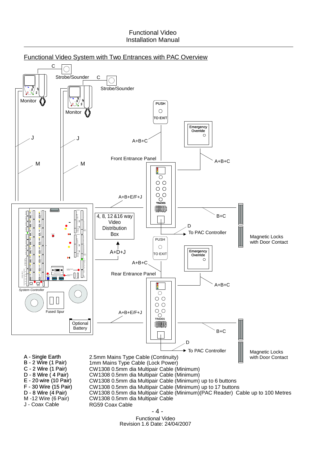

- 4 -

Functional Video Revision 1.6 Date: 24/04/2007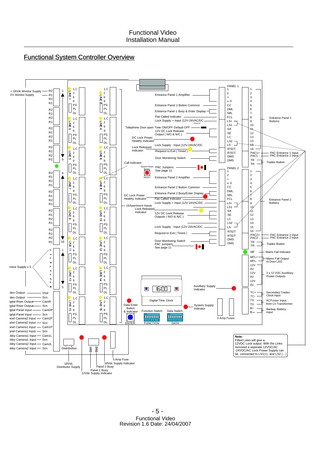

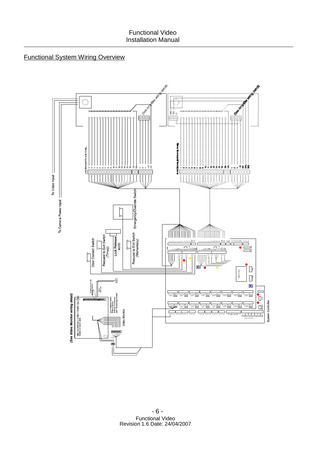# Functional System Wiring Overview

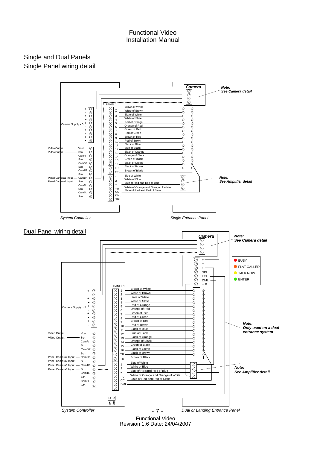# Single and Dual Panels Single Panel wiring detail

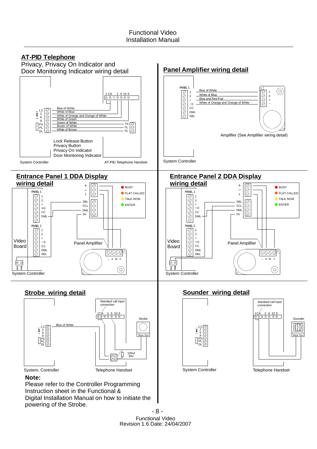

- 8 - Functional Video Revision 1.6 Date: 24/04/2007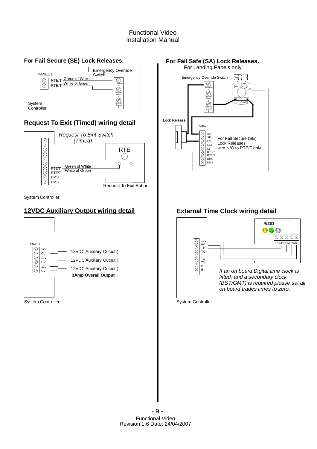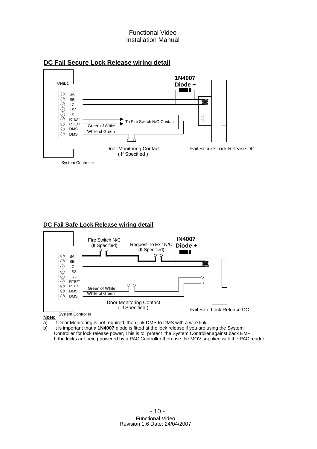



### **DC Fail Safe Lock Release wiring detail**



**Note:**

a) If Door Monitoring is not required, then link DMS to DMS with a wire link.

b) It is important that a 1N4007 diode is fitted at the lock release if you are using the System Controller for lock release power, This is to protect the System Controller against back EMF . If the locks are being powered by a PAC Controller then use the MOV supplied with the PAC reader.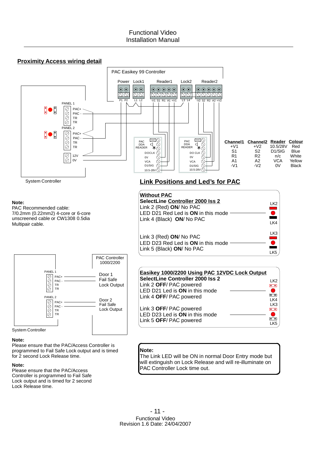



Please ensure that the PAC/Access Controller is programmed to Fail Safe Lock output and is timed for 2 second Lock Release time.

### **Note:**

Please ensure that the PAC/Access Controller is programmed to Fail Safe Lock output and is timed for 2 second Lock Release time.

### **Note:**

The Link LED will be ON in normal Door Entry mode but will extinguish on Lock Release and will re-illuminate on PAC Controller Lock time out.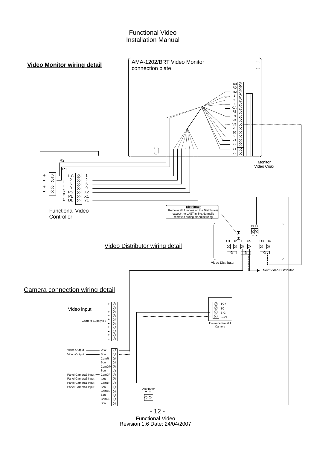

Functional Video Revision 1.6 Date: 24/04/2007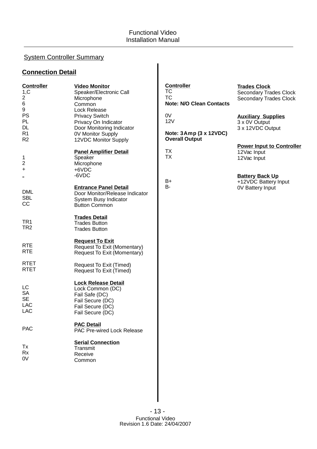# System Controller Summary

# **Connection Detail**

| <b>Controller</b><br>1,C<br>$\overline{a}$<br>6<br>9<br>PS<br>PL<br><b>DL</b><br>R <sub>1</sub><br>R <sub>2</sub> | <b>Video Monitor</b><br>Speaker/Electronic Call<br>Microphone<br>Common<br>Lock Release<br><b>Privacy Switch</b><br>Privacy On Indicator<br>Door Monitoring Indicator<br>0V Monitor Supply | <b>Controller</b><br>ТC<br><b>TC</b><br><b>Note: N/O Clean Contacts</b><br>0V<br><b>12V</b><br>Note: 3Amp (3 x 12VDC)<br><b>Overall Output</b> | <b>Trades Clock</b><br><b>Secondary Trades Clock</b><br><b>Secondary Trades Clock</b><br><b>Auxiliary Supplies</b><br>3 x 0V Output<br>3 x 12VDC Output |
|-------------------------------------------------------------------------------------------------------------------|--------------------------------------------------------------------------------------------------------------------------------------------------------------------------------------------|------------------------------------------------------------------------------------------------------------------------------------------------|---------------------------------------------------------------------------------------------------------------------------------------------------------|
| 1<br>2<br>+                                                                                                       | 12VDC Monitor Supply<br><b>Panel Amplifier Detail</b><br>Speaker<br>Microphone<br>+6VDC                                                                                                    | <b>TX</b><br><b>TX</b>                                                                                                                         | <b>Power Input to Controller</b><br>12Vac Input<br>12Vac Input                                                                                          |
| <b>DML</b><br><b>SBL</b><br>CC                                                                                    | -6VDC<br><b>Entrance Panel Detail</b><br>Door Monitor/Release Indicator<br>System Busy Indicator<br><b>Button Common</b>                                                                   | B+<br><b>B-</b>                                                                                                                                | <b>Battery Back Up</b><br>+12VDC Battery Input<br><b>0V Battery Input</b>                                                                               |
| TR <sub>1</sub><br>TR <sub>2</sub>                                                                                | <b>Trades Detail</b><br><b>Trades Button</b><br><b>Trades Button</b>                                                                                                                       |                                                                                                                                                |                                                                                                                                                         |
| <b>RTE</b><br><b>RTE</b>                                                                                          | <b>Request To Exit</b><br>Request To Exit (Momentary)<br>Request To Exit (Momentary)                                                                                                       |                                                                                                                                                |                                                                                                                                                         |
| <b>RTET</b><br><b>RTET</b>                                                                                        | Request To Exit (Timed)<br>Request To Exit (Timed)                                                                                                                                         |                                                                                                                                                |                                                                                                                                                         |
| LC<br><b>SA</b><br><b>SE</b><br><b>LAC</b><br>LAC                                                                 | <b>Lock Release Detail</b><br>Lock Common (DC)<br>Fail Safe (DC)<br>Fail Secure (DC)<br>Fail Secure (DC)<br>Fail Secure (DC)                                                               |                                                                                                                                                |                                                                                                                                                         |
| <b>PAC</b>                                                                                                        | <b>PAC Detail</b><br>PAC Pre-wired Lock Release                                                                                                                                            |                                                                                                                                                |                                                                                                                                                         |
| Тx<br>Rx<br>0V                                                                                                    | <b>Serial Connection</b><br>Transmit<br>Receive<br>Common                                                                                                                                  |                                                                                                                                                |                                                                                                                                                         |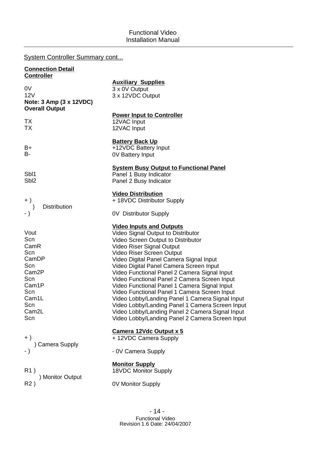# System Controller Summary cont...

| <b>Connection Detail</b><br><b>Controller</b>                                                                                                    |                                                                                                                                                                                                                                                                                                                                                                                                                                                                                                                                                                                                                                                                         |  |  |  |  |  |
|--------------------------------------------------------------------------------------------------------------------------------------------------|-------------------------------------------------------------------------------------------------------------------------------------------------------------------------------------------------------------------------------------------------------------------------------------------------------------------------------------------------------------------------------------------------------------------------------------------------------------------------------------------------------------------------------------------------------------------------------------------------------------------------------------------------------------------------|--|--|--|--|--|
| 0V<br>12V<br>Note: 3 Amp (3 x 12VDC)<br><b>Overall Output</b>                                                                                    | <b>Auxiliary Supplies</b><br>3 x 0V Output<br>3 x 12VDC Output                                                                                                                                                                                                                                                                                                                                                                                                                                                                                                                                                                                                          |  |  |  |  |  |
| TX<br><b>TX</b>                                                                                                                                  | <b>Power Input to Controller</b><br>12VAC Input<br>12VAC Input                                                                                                                                                                                                                                                                                                                                                                                                                                                                                                                                                                                                          |  |  |  |  |  |
| B+<br>B-                                                                                                                                         | <b>Battery Back Up</b><br>+12VDC Battery Input<br><b>0V Battery Input</b>                                                                                                                                                                                                                                                                                                                                                                                                                                                                                                                                                                                               |  |  |  |  |  |
| Sb <sub>1</sub><br>Sbl <sub>2</sub>                                                                                                              | <b>System Busy Output to Functional Panel</b><br>Panel 1 Busy Indicator<br>Panel 2 Busy Indicator                                                                                                                                                                                                                                                                                                                                                                                                                                                                                                                                                                       |  |  |  |  |  |
| $+$ )<br><b>Distribution</b><br>$\lambda$<br>$-$ )                                                                                               | <b>Video Distribution</b><br>+ 18VDC Distributor Supply<br>0V Distributor Supply                                                                                                                                                                                                                                                                                                                                                                                                                                                                                                                                                                                        |  |  |  |  |  |
| Vout<br>Scn<br>CamR<br>Scn<br>CamDP<br>Scn<br>Cam <sub>2P</sub><br>Scn<br>Cam1P<br>Scn<br>Cam <sub>1</sub> L<br>Scn<br>Cam <sub>2</sub> L<br>Scn | <b>Video Inputs and Outputs</b><br>Video Signal Output to Distributor<br>Video Screen Output to Distributor<br>Video Riser Signal Output<br>Video Riser Screen Output<br>Video Digital Panel Camera Signal Input<br>Video Digital Panel Camera Screen Input<br>Video Functional Panel 2 Camera Signal Input<br>Video Functional Panel 2 Camera Screen Input<br>Video Functional Panel 1 Camera Signal Input<br>Video Functional Panel 1 Camera Screen Input<br>Video Lobby/Landing Panel 1 Camera Signal Input<br>Video Lobby/Landing Panel 1 Camera Screen Input<br>Video Lobby/Landing Panel 2 Camera Signal Input<br>Video Lobby/Landing Panel 2 Camera Screen Input |  |  |  |  |  |
| $+ )$<br>Camera Supply<br>- )                                                                                                                    | Camera 12Vdc Output x 5<br>+ 12VDC Camera Supply<br>- 0V Camera Supply                                                                                                                                                                                                                                                                                                                                                                                                                                                                                                                                                                                                  |  |  |  |  |  |
| R <sub>1</sub> )<br>) Monitor Output<br>R <sub>2</sub> )                                                                                         | <b>Monitor Supply</b><br>18VDC Monitor Supply<br>0V Monitor Supply                                                                                                                                                                                                                                                                                                                                                                                                                                                                                                                                                                                                      |  |  |  |  |  |
|                                                                                                                                                  |                                                                                                                                                                                                                                                                                                                                                                                                                                                                                                                                                                                                                                                                         |  |  |  |  |  |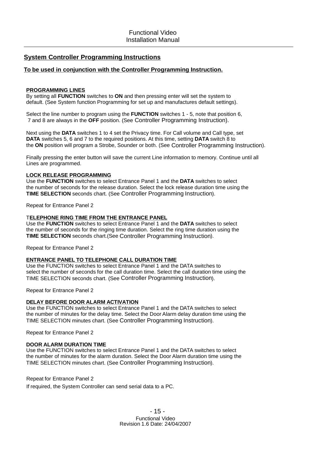### **System Controller Programming Instructions**

### **To be used in conjunction with the Controller Programming Instruction.**

### **PROGRAMMING LINES**

By setting all FUNCTION switches to ON and then pressing enter will set the system to default. (See System function Programming for set up and manufactures default settings).

Select the line number to program using the **FUNCTION** switches 1 - 5, note that position 6, 7 and 8 are always in the OFF position. (See Controller Programming Instruction).

Next using the DATA switches 1 to 4 set the Privacy time. For Call volume and Call type, set **DATA** switches 5, 6 and 7 to the required positions. At this time, setting DATA switch 8 to the ON position will program a Strobe, Sounder or both. (See Controller Programming Instruction).

Finally pressing the enter button will save the current Line information to memory. Continue until all Lines are programmed.

### **LOCK RELEASE PROGRAMMING**

Use the FUNCTION switches to select Entrance Panel 1 and the DATA switches to select the number of seconds for the release duration. Select the lock release duration time using the **TIME SELECTION** seconds chart. (See Controller Programming Instruction).

Repeat for Entrance Panel 2

#### **ELEPHONE RING TIME FROM THE ENTRANCE PANEL** T

Use the FUNCTION switches to select Entrance Panel 1 and the DATA switches to select the number of seconds for the ringing time duration. Select the ring time duration using the TIME SELECTION seconds chart. (See Controller Programming Instruction).

Repeat for Entrance Panel 2

### **ENTRANCE PANEL TO TELEPHONE CALL DURATION TIME**

Use the FUNCTION switches to select Entrance Panel 1 and the DATA switches to select the number of seconds for the call duration time. Select the call duration time using the TIME SELECTION seconds chart. (See Controller Programming Instruction).

Repeat for Entrance Panel 2

### **DELAY BEFORE DOOR ALARM ACTIVATION**

Use the FUNCTION switches to select Entrance Panel 1 and the DATA switches to select the number of minutes for the delay time. Select the Door Alarm delay duration time using the TIME SELECTION minutes chart. (See Controller Programming Instruction).

Repeat for Entrance Panel 2

#### **DOOR ALARM DURATION TIME**

Use the FUNCTION switches to select Entrance Panel 1 and the DATA switches to select the number of minutes for the alarm duration. Select the Door Alarm duration time using the TIME SELECTION minutes chart. (See Controller Programming Instruction).

#### Repeat for Entrance Panel 2

If required, the System Controller can send serial data to a PC.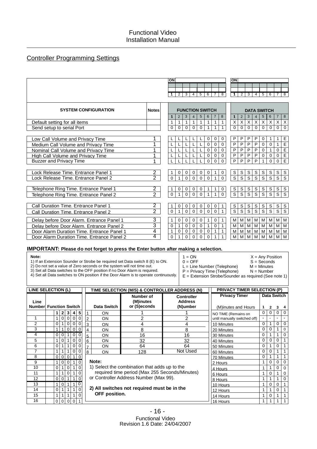# Controller Programming Settings

|                                            |                | ON<br>ON                                                                                                                                                                           |                                                                                                         |
|--------------------------------------------|----------------|------------------------------------------------------------------------------------------------------------------------------------------------------------------------------------|---------------------------------------------------------------------------------------------------------|
|                                            |                |                                                                                                                                                                                    |                                                                                                         |
|                                            |                | 7                                                                                                                                                                                  |                                                                                                         |
|                                            |                | $\overline{2}$<br>2<br>$\overline{3}$<br>$\overline{8}$<br>$\overline{3}$<br>$\overline{4}$<br>5<br>6<br>$\mathbf 1$                                                               | $\overline{8}$<br>4<br>5<br>6                                                                           |
|                                            |                |                                                                                                                                                                                    |                                                                                                         |
| <b>SYSTEM CONFIGURATION</b>                | <b>Notes</b>   | <b>FUNCTION SWITCH</b>                                                                                                                                                             | <b>DATA SWITCH</b>                                                                                      |
|                                            |                | 8<br>2<br>3<br>6<br>$\overline{7}$<br>$\overline{2}$<br>3<br>5<br>$\overline{4}$<br>$\blacktriangleleft$<br>1                                                                      | 8<br>$5\phantom{.0}$<br>6<br>$\overline{7}$<br>4                                                        |
| Default setting for all items              |                | $\overline{X}$<br>$\overline{X}$<br>$\overline{X}$<br>$\mathbf{1}$<br>$\mathbf{1}$<br>$\mathbf{1}$<br>$\mathbf{1}$<br>$\mathbf{1}$<br>$\mathbf{1}$<br>$\mathbf{1}$<br>$\mathbf{1}$ | $\mathsf X$<br>$\boldsymbol{\mathsf{X}}$<br>X<br>$\boldsymbol{\mathsf{X}}$<br>$\boldsymbol{\mathsf{X}}$ |
| Send setup to serial Port                  |                | $\Omega$<br>$\mathbf 0$<br>$\mathbf 0$<br>$\Omega$<br>$\mathbf 0$<br>$\Omega$<br>1<br>$\Omega$<br>$\Omega$<br>1<br>1                                                               | $\mathbf 0$<br>$\mathbf 0$<br>$\Omega$<br>$\Omega$<br>0                                                 |
|                                            |                |                                                                                                                                                                                    |                                                                                                         |
| Low Call Volume and Privacy Time           |                | P<br>P<br>P<br>0<br>0<br>0<br>L<br>ц<br>┗                                                                                                                                          | E<br>P<br>0<br>1<br>1                                                                                   |
| Medium Call Volume and Privacy Time        | 1              | $\overline{P}$<br>$\overline{P}$<br>$\overline{P}$<br>$\mathbf 0$<br>$\mathbf 0$<br>L<br>$\mathbf 0$                                                                               | $\overline{E}$<br>$\mathsf{P}$<br>$\mathbf 0$<br>$\mathbf 0$<br>$\mathbf{1}$                            |
| Nominal Call Volume and Privacy Time       | 1              | $\overline{P}$<br>P<br>$\overline{P}$<br>$\mathbf 0$<br>$\mathbf 0$<br>L<br>$\Omega$                                                                                               | $rac{E}{E}$<br>$\mathsf{P}$<br>$\overline{0}$<br>$\mathbf 0$<br>$\mathbf{1}$                            |
| <b>High Call Volume and Privacy Time</b>   |                | $\overline{P}$<br>$\overline{P}$<br>$\overline{P}$<br>$\mathbf 0$<br>$\mathbf 0$<br>L<br>0                                                                                         | $\overline{P}$<br>$\mathbf 0$<br>$\mathbf 0$<br>$\mathbf 0$                                             |
| <b>Buzzer and Privacy Time</b>             | 1              | $\overline{P}$<br>$\overline{\mathsf{P}}$<br>$\overline{P}$<br>$\overline{0}$<br>$\Omega$<br>$\Omega$                                                                              | P<br>$\mathbf 0$<br>$\mathbf 0$                                                                         |
|                                            |                |                                                                                                                                                                                    |                                                                                                         |
| Lock Release Time. Entrance Panel 1        | $\overline{2}$ | $\mathbb S$<br>$\mathbb S$<br>$\frac{s}{s}$<br>0<br>0<br>0<br>0<br>0<br>0<br>1<br>1                                                                                                | $\mathsf S$<br>$\mathsf S$<br>$\mathbb S$<br>$rac{s}{s}$<br>S                                           |
| Lock Release Time, Entrance Panel 2        | $\overline{2}$ | $\overline{s}$<br>$\overline{s}$<br>$\mathbf{0}$<br>$\Omega$<br>$\mathbf{0}$<br>$\mathbf{1}$<br>$\Omega$<br>$\Omega$<br>$\Omega$<br>1                                              | $\overline{s}$<br>$\overline{s}$<br>$\overline{s}$<br>$\mathsf S$                                       |
|                                            |                |                                                                                                                                                                                    |                                                                                                         |
| Telephone Ring Time. Entrance Panel 1      | $\overline{2}$ | $rac{s}{s}$<br>$\mathsf S$<br>$\frac{s}{s}$<br>0<br>0<br>0<br>0<br>0<br>1<br>1<br>1                                                                                                | S<br>$\mbox{\bf S}$<br>S<br>$\frac{\overline{s}}{\overline{s}}$<br>S                                    |
| Telephone Ring Time. Entrance Panel 2      | $\overline{2}$ | $\overline{s}$<br>$\overline{0}$<br>$\mathbf 0$<br>$\mathbf{1}$<br>$\mathbf{1}$<br>$\mathbf{1}$<br>$\Omega$<br>$\Omega$<br>$\Omega$                                                | $\overline{s}$<br>$\overline{s}$<br>$\overline{s}$<br>$\overline{s}$                                    |
|                                            |                |                                                                                                                                                                                    |                                                                                                         |
| Call Duration Time. Entrance Panel 1       | $\overline{2}$ | $\mathbf S$<br>$\mathbf S$<br>0<br>0<br>0<br>$\frac{s}{s}$<br>0<br>0<br>0<br>1<br>1                                                                                                | S<br>S<br>S<br>S<br>$\frac{s}{s}$                                                                       |
| Call Duration Time, Entrance Panel 2       | $\overline{2}$ | $\overline{s}$<br>$\overline{s}$<br>$\Omega$<br>$\mathbf{1}$<br>$\Omega$<br>$\Omega$<br>$\mathbf{1}$<br>$\Omega$<br>$\Omega$<br>$\Omega$                                           | $\overline{s}$<br>$\overline{s}$<br>$\overline{s}$<br>$\overline{s}$                                    |
| Delay before Door Alarm. Entrance Panel 1  | 3              | М<br>0<br>0<br>$\mathbf 0$<br>0<br>0<br>M<br>M<br>1<br>1<br>1                                                                                                                      | М<br>M<br>M<br>M<br>M                                                                                   |
| Delay before Door Alarm. Entrance Panel 2  | $\overline{3}$ | M<br>M<br>$\mathbf{1}$<br>$\mathbf 0$<br>$\mathbf{1}$<br>0<br>0<br>$\Omega$<br>1<br>$\Omega$<br>M                                                                                  | M<br>M<br>M<br>M<br>M                                                                                   |
| Door Alarm Duration Time. Entrance Panel 1 | 4              | M<br>$\mathbf{1}$<br>$\mathbf 0$<br>$\mathbf 0$<br>1<br>M<br>0<br>0<br>0<br>M<br>1                                                                                                 | M<br>M<br>M<br>M<br>M                                                                                   |
| Door Alarm Duration Time. Entrance Panel 2 | 4              | $\mathbf 0$<br>1<br>$\mathbf{1}$<br>$\Omega$<br>$\Omega$<br>$\Omega$<br>$\Omega$<br>M<br>M<br>M<br>1                                                                               | M<br>M<br>M<br>M<br>M                                                                                   |
|                                            |                |                                                                                                                                                                                    |                                                                                                         |

### **IMPORTANT: Please do not forget to press the Enter button after making a selection.**

#### **Note:**

1) If an Extension Sounder or Strobe be required set Data switch 8 (E) to ON.

4) Set all Data switches to ON position if the Door Alarm is to operate continuously.

2) Do not set a value of Zero seconds or the system will not time out.

3) Set all Data switches to the OFF position if no Door Alarm is required.

 $1 = ON$ <br>  $0 = OFF$ <br>  $S = Seconds$ 

**Data Switch**

 $S = Seconds$ <br> $M = Minutes$ 

 $L =$  Line Number (Telephone)  $M =$  Minutes<br>P = Privacy Time (Telephone)  $N =$  Number  $P =$  Privacy Time (Telephone)

> 16 Hours 14 Hours

E = Extension Strobe/Sounder as required (See note 1)

**PRIVACY TIMER SELECTION (P) Privacy Timer** (M)inutes and Hours NO TIME (Remains on **Data Switch ON Number of (M)inutes or (S)econds Controller Address (N)umber TIME SELECTION (M/S) & CONTROLLER ADDRESS (N)** 1 1 1 **Function Switch Line Number 1 2 3 4 5 LINE SELECTION (L)**

|                         |          | 0        | $\Omega$ | $\Omega$<br>$\Omega$       | 2                                                       | <b>ON</b>     |                                                |          | until manually switched off) |          |   |          |          |
|-------------------------|----------|----------|----------|----------------------------|---------------------------------------------------------|---------------|------------------------------------------------|----------|------------------------------|----------|---|----------|----------|
| $\overline{\mathbf{c}}$ | 0        |          | $\Omega$ | $\Omega$<br>$\Omega$       | 3                                                       | ON            |                                                |          | 10 Minutes                   | $\Omega$ |   |          | $\Omega$ |
| 3                       |          |          | 0        | 0 <br>$\Omega$             | 4                                                       | ON            | 8                                              | 8        | 20 Minutes                   | 0        |   |          | $\Omega$ |
| 4                       | 0        |          |          | $\Omega$<br>0 <sup>1</sup> | 5                                                       | <b>ON</b>     | 16                                             | 16       | 30 Minutes                   | 0        |   |          | $\Omega$ |
| 5                       |          | 0        |          | $\Omega$<br>$\Omega$       | 6                                                       | ON            | 32                                             | 32       | 40 Minutes                   | $\Omega$ |   |          |          |
| 6                       | 0        |          |          | $\Omega$<br>$\Omega$       |                                                         | <b>ON</b>     | 64                                             | 64       | 50 Minutes                   | 0        |   |          |          |
|                         |          |          |          | $\Omega$<br>0              | 8                                                       | <b>ON</b>     | 128                                            | Not Used | 60 Minutes                   | 0        |   |          |          |
| 8                       | $\Omega$ | $\Omega$ | $\Omega$ | $\Omega$                   |                                                         |               |                                                |          | 70 Minutes                   | 0        |   |          |          |
| 9                       |          | 0        | $\Omega$ | $\Omega$                   |                                                         | Note:         |                                                |          | 2 Hours                      |          |   |          | $\Omega$ |
| $\overline{0}$          | 0        |          | $\Omega$ | $\Omega$                   |                                                         |               | 1) Select the combination that adds up to the  |          | 4 Hours                      |          |   |          | $\Omega$ |
|                         |          |          | $\Omega$ | $\Omega$                   |                                                         |               | required time period (Max 255 Seconds/Minutes) |          | 6 Hours                      |          |   |          | 0        |
| 12                      | 0        | $\Omega$ |          | $\Omega$                   |                                                         |               | or Controller Address Number (Max 99).         | 8 Hours  |                              |          |   | $\Omega$ |          |
| 13                      |          | 0        |          | 0                          |                                                         |               |                                                |          | 10 Hours                     |          |   | 0        |          |
| 4                       | 0        |          |          | $\Omega$                   | 2) All switches not required must be in the<br>12 Hours |               |                                                |          |                              |          |   |          |          |
| 15                      |          |          |          |                            |                                                         | OFF position. |                                                |          | $4411$ $$                    |          | ∩ |          |          |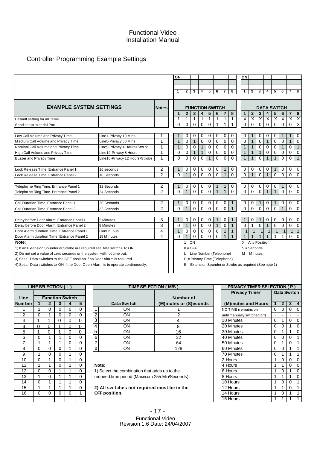# Controller Programming Example Settings

|                                                                                                                   |                                                              |                        | ΟN                                                                                                                                               |                   |              |                        |                  |                   |                                                                                                            | ΟN                                                         |              |                          |                    |                   |                   |                             |                                     |                                  |
|-------------------------------------------------------------------------------------------------------------------|--------------------------------------------------------------|------------------------|--------------------------------------------------------------------------------------------------------------------------------------------------|-------------------|--------------|------------------------|------------------|-------------------|------------------------------------------------------------------------------------------------------------|------------------------------------------------------------|--------------|--------------------------|--------------------|-------------------|-------------------|-----------------------------|-------------------------------------|----------------------------------|
|                                                                                                                   |                                                              |                        |                                                                                                                                                  |                   |              |                        |                  |                   |                                                                                                            |                                                            |              |                          |                    |                   |                   |                             |                                     |                                  |
|                                                                                                                   |                                                              |                        | $\mathbf{1}$                                                                                                                                     | $\mathbf{2}$      | 3            | 4                      | 5                | 6                 | 8<br>$\overline{7}$                                                                                        | 1                                                          |              | $\mathbf{2}$             | 3                  | 4                 | 5                 | 6                           | $\overline{7}$                      | 8                                |
|                                                                                                                   |                                                              |                        |                                                                                                                                                  |                   |              |                        |                  |                   |                                                                                                            |                                                            |              |                          |                    |                   |                   |                             |                                     |                                  |
|                                                                                                                   |                                                              |                        |                                                                                                                                                  |                   |              |                        |                  |                   |                                                                                                            |                                                            |              |                          |                    |                   |                   |                             |                                     |                                  |
| <b>EXAMPLE SYSTEM SETTINGS</b>                                                                                    |                                                              | <b>Notes</b>           |                                                                                                                                                  |                   |              | <b>FUNCTION SWITCH</b> |                  |                   |                                                                                                            |                                                            |              |                          | <b>DATA SWITCH</b> |                   |                   |                             |                                     |                                  |
|                                                                                                                   |                                                              |                        | 1                                                                                                                                                | $\mathbf{2}$      | 3            | 4                      | 5                | 6                 | 8<br>7                                                                                                     |                                                            |              | $\mathbf{2}$             | 3                  | 4                 | 5                 | 6                           | 7                                   | 8                                |
| Default setting for all items                                                                                     |                                                              |                        | 1<br>0                                                                                                                                           | 1<br>$\mathbf 0$  | 1<br>0       | 1<br>0                 | 1<br>0           | 1<br>$\mathbf{1}$ | $\mathbf{1}$<br>1<br>$\mathbf{1}$<br>$\mathbf{1}$                                                          | Χ<br>$\mathbf 0$                                           |              | X<br>$\mathbf 0$         | X<br>$\mathbf 0$   | X<br>$\mathbf 0$  | X<br>0            | Χ<br>0                      | X<br>0                              | $\overline{\mathsf{X}}$<br>X     |
| Send setup to serial Port                                                                                         |                                                              |                        |                                                                                                                                                  |                   |              |                        |                  |                   |                                                                                                            |                                                            |              |                          |                    |                   |                   |                             |                                     |                                  |
| Low Call Volume and Privacy Time                                                                                  | Line1-Privacy 10 Mins                                        | 1                      |                                                                                                                                                  | 0                 | 0            | 0                      | 0                | 0                 | 0<br>0                                                                                                     | 0                                                          |              |                          | 0                  | 0                 | 0                 |                             | 1                                   | 0                                |
| Medium Call Volume and Privacy Time                                                                               | Line5-Privacy 50 Mins                                        | 1                      | $\mathbf 1$                                                                                                                                      | $\mathbf 0$       | $\mathbf{1}$ | $\mathbf 0$            | $\mathbf 0$      | $\mathbf 0$       | 0<br>$\mathbf 0$                                                                                           | $\mathbf 0$                                                | $\mathbf{1}$ | $\mathbf 0$              | $\mathbf 0$        | $\mathbf{1}$      | $\mathbf 0$       |                             |                                     |                                  |
| Nominal Call Volume and Privacy Time                                                                              | Line9-Privacy 4 Hours+Strobe                                 | 1                      |                                                                                                                                                  | $\mathbf 0$       | 0            | $\mathbf{1}$           | $\mathbf 0$      | 0                 | 0<br>$\mathbf 0$                                                                                           | $\overline{1}$                                             |              |                          | 0                  | $\mathbf 0$       | $\mathbf 0$       |                             | 0                                   | $\mathbf{1}$                     |
| High Call Volume and Privacy Time                                                                                 | Line12-Privacy 8 Hours                                       | 1                      | $\mathbf 0$                                                                                                                                      | 0                 | $\mathbf 1$  | 1                      | $\mathbf 0$      | 0                 | 0<br>0                                                                                                     | $\mathbf{1}$                                               |              |                          | 1                  | $\mathbf 0$       | $\mathbf 0$       | 0                           | 0                                   | 0                                |
| <b>Buzzer and Privacy Time</b>                                                                                    | Line16-Privacy 12 Hours+Strobe                               | 1                      | 0                                                                                                                                                | 0                 | 0            | 0                      |                  | 0                 | $\mathbf 0$<br>0                                                                                           |                                                            |              |                          | 0                  |                   |                   | 0                           | 0                                   | $\mathbf{1}$                     |
|                                                                                                                   |                                                              |                        |                                                                                                                                                  |                   |              |                        |                  |                   |                                                                                                            |                                                            |              |                          |                    |                   |                   |                             |                                     |                                  |
| Lock Release Time. Entrance Panel 1                                                                               | 16 seconds                                                   | 2                      |                                                                                                                                                  |                   | 0            | 0                      | 0                | 0                 | 0                                                                                                          |                                                            |              |                          |                    | 0                 | 0<br>0<br>0       |                             |                                     |                                  |
| Lock Release Time, Entrance Panel 2                                                                               | 10 Seconds                                                   | $\overline{2}$         | $\Omega$                                                                                                                                         | 1                 | $\Omega$     | $\mathbf 0$            | $\Omega$         | $\Omega$          | $\Omega$                                                                                                   | $\mathbf 0$                                                |              |                          | $\Omega$           |                   | $\mathbf 0$       | $\mathbf 0$                 | $\mathbf 0$                         | $\mathbf 0$                      |
|                                                                                                                   |                                                              |                        |                                                                                                                                                  |                   |              |                        |                  |                   |                                                                                                            |                                                            |              |                          |                    |                   |                   |                             |                                     |                                  |
| Telepho ne Ring Time. Entrance Panel 1                                                                            | 32 Seconds<br>24 Seconds                                     | 2<br>$\overline{2}$    | 0                                                                                                                                                | 0<br>$\mathbf{1}$ | 0<br>0       | 0<br>0                 | 0<br>$\mathbf 0$ | $\mathbf{1}$      | 0<br>$\mathbf 0$<br>$\mathbf{1}$                                                                           | 0<br>$\overline{0}$                                        |              | $\pmb{0}$<br>$\mathbf 0$ | 0<br>$\mathbf 0$   | 0<br>$\mathbf{1}$ | 0<br>$\mathbf{1}$ | 0                           | 0<br>$\mathbf 0$                    | 0<br>$\mathbf 0$                 |
| Telepho ne Ring Time. Entrance Panel 2                                                                            |                                                              |                        |                                                                                                                                                  |                   |              |                        |                  |                   |                                                                                                            |                                                            |              |                          |                    |                   |                   |                             |                                     |                                  |
| Call Duration Time, Entrance Panel 1                                                                              | 20 Seconds                                                   | 2                      |                                                                                                                                                  | 0                 | 0            | 0                      | 0                | 0                 | 0                                                                                                          | 0                                                          |              | 0                        |                    | 0                 |                   | 0                           | 0                                   | 0                                |
| Call Duration Time. Entrance Panel 2                                                                              | 32 Seconds                                                   | $\overline{2}$         | $\mathbf 0$                                                                                                                                      | 1                 | 0            | $\mathbf 0$            | $\mathbf 0$      | $\mathbf 0$       | $\Omega$<br>1                                                                                              | $\mathbf 0$                                                |              | $\Omega$                 | $\Omega$           | $\Omega$          | $\mathbf 0$       | $\overline{1}$              | $\mathbf 0$                         | $\mathbf 0$                      |
|                                                                                                                   |                                                              |                        |                                                                                                                                                  |                   |              |                        |                  |                   |                                                                                                            |                                                            |              |                          |                    |                   |                   |                             |                                     |                                  |
| Delay before Door Alarm. Entrance Panel 1                                                                         | 5 Minutes                                                    | 3                      |                                                                                                                                                  | 0                 | 0            | 0                      | 0                |                   | 0<br>1                                                                                                     |                                                            |              | 0                        |                    | 0                 | 0                 | 0                           | 0                                   | 0                                |
| Delay before Door Alarm. Entrance Panel 2                                                                         | 8 Minutes                                                    | 3                      | $\mathbf 0$<br>$\mathbf 0$<br>$\mathbf 0$<br>$\mathbf 0$<br>$\mathbf 0$<br>$\mathbf 0$<br>$\mathbf{1}$<br>$\mathbf{1}$<br>$\mathbf{1}$<br>0<br>0 |                   |              |                        |                  |                   | $\mathbf 0$                                                                                                | $\mathbf 0$                                                | $\mathbf 0$  |                          |                    |                   |                   |                             |                                     |                                  |
| Door Alarm duration Time, Entrance Panel 1                                                                        | Continuous                                                   | 4                      | $\mathbf 1$                                                                                                                                      | $\mathbf 0$       | $\mathbf 0$  | $\mathbf 0$            | $\mathbf 0$      | 0                 | $\mathbf{1}$<br>$\mathbf{1}$<br>$\mathbf{1}$<br>$\mathbf{1}$<br>$\mathbf 1$<br>$\mathbf{1}$<br>$\mathbf 1$ |                                                            |              |                          |                    | $\mathbf{1}$      | $\overline{1}$    |                             |                                     |                                  |
| Door Alarm duration Time. Entrance Panel 2                                                                        | 15 Minutes                                                   | 4                      | $\mathbf 0$                                                                                                                                      | $\mathbf{1}$      | $\mathbf 0$  | $\mathbf 0$            | 0                | 0                 | $\mathbf{1}$                                                                                               | $\mathbf{1}$<br>$\mathbf{1}$                               |              | $\mathbf{1}$             | $\mathbf{1}$       | $\mathbf{1}$      | 1                 | 1                           | 0                                   | $\mathbf 0$                      |
| Note:                                                                                                             |                                                              |                        |                                                                                                                                                  | $1 = ON$          |              |                        |                  |                   |                                                                                                            |                                                            |              |                          | $X = Any Position$ |                   |                   |                             |                                     |                                  |
| 1) If an Extension Sounder or Strobe are required set Data switch 8 to ON.                                        |                                                              |                        |                                                                                                                                                  | $0 = OFF$         |              |                        |                  |                   |                                                                                                            |                                                            |              | $S =$ Seconds            |                    |                   |                   |                             |                                     |                                  |
| 2) Do not set a value of zero seconds or the system will not time out.                                            |                                                              |                        |                                                                                                                                                  |                   |              |                        |                  |                   | L = Line Number (Telephone)                                                                                |                                                            |              | $M = M$ inutes           |                    |                   |                   |                             |                                     |                                  |
| 3) Set all Data switches to the OFF position if no Door Alarm is required.                                        |                                                              |                        |                                                                                                                                                  |                   |              |                        |                  |                   | P = Privacy Time (Telephone)                                                                               |                                                            |              |                          |                    |                   |                   |                             |                                     |                                  |
| 4) Set all Data switches to ON if the Door Open Alarm is to operate continuously.                                 |                                                              |                        |                                                                                                                                                  |                   |              |                        |                  |                   |                                                                                                            | $E =$ Extension Sounder or Strobe as required (See note 1) |              |                          |                    |                   |                   |                             |                                     |                                  |
|                                                                                                                   |                                                              |                        |                                                                                                                                                  |                   |              |                        |                  |                   |                                                                                                            |                                                            |              |                          |                    |                   |                   |                             |                                     |                                  |
|                                                                                                                   |                                                              |                        |                                                                                                                                                  |                   |              |                        |                  |                   |                                                                                                            |                                                            |              |                          |                    |                   |                   |                             |                                     |                                  |
| LINE SELECTION (L)                                                                                                | TIME SELECTION (M/S)                                         |                        |                                                                                                                                                  |                   |              |                        |                  |                   |                                                                                                            | <b>PRIVACY TIMER SELECTION (P)</b>                         |              |                          |                    |                   |                   |                             |                                     |                                  |
|                                                                                                                   |                                                              |                        |                                                                                                                                                  |                   |              |                        |                  |                   |                                                                                                            | <b>Privacy Timer</b>                                       |              |                          |                    |                   |                   |                             | Data Switch                         |                                  |
| <b>Function Switch</b><br>Line                                                                                    |                                                              |                        | Number of                                                                                                                                        |                   |              |                        |                  |                   |                                                                                                            |                                                            |              |                          |                    |                   |                   |                             |                                     |                                  |
| $\overline{2}$<br>3<br>Num ber<br>1<br>4<br>5                                                                     | Data Switch                                                  | (M)inutes or (S)econds |                                                                                                                                                  |                   |              |                        |                  |                   |                                                                                                            | (M)inutes and Hours                                        |              |                          |                    |                   | 1                 | $\mathbf{2}$                | 3                                   | 4                                |
| $\mathbf{1}$<br>1<br>1<br>0<br>0<br>0<br>0<br>$\overline{2}$<br>$\overline{2}$<br>0<br>1<br>$\mathbf 0$<br>0<br>0 | <b>ON</b><br>ON                                              |                        | 1<br>$\overline{c}$                                                                                                                              |                   |              |                        |                  |                   |                                                                                                            | NO TIME (remains on                                        |              |                          |                    |                   | $\mathbf{0}$      | $\bf{0}$                    | $\sigma$                            | $\theta$                         |
| $\overline{3}$<br>3<br>$\overline{0}$<br>1<br>$\mathbf{1}$<br>$\mathbf 0$<br>0                                    | $\overline{ON}$                                              |                        | 4                                                                                                                                                |                   |              |                        |                  |                   | 10 Minutes                                                                                                 | until manually switched off)                               |              |                          |                    |                   | $\overline{0}$    | $\overline{1}$              | $\mathbf 0$                         | $\overline{0}$                   |
| $\overline{4}$<br>$\Omega$<br>$\mathbf{1}$<br>$\mathbf 0$<br>$\Omega$<br>$\Omega$                                 | $\overline{4}$<br>ON                                         |                        | 8                                                                                                                                                |                   |              |                        |                  |                   | 20 Minutes                                                                                                 |                                                            |              |                          |                    |                   | $\mathbf 0$       | 0                           | $\mathbf{1}$                        | $\mathbf 0$                      |
| $\overline{5}$<br>5<br>1<br>0<br>$\pmb{0}$<br>0<br>1                                                              | ON                                                           |                        | 16                                                                                                                                               |                   |              |                        |                  |                   | 30 Minutes                                                                                                 |                                                            |              |                          |                    |                   | $\mathbf 0$       | $\overline{1}$              | $\mathbf{1}$                        | $\mathbf 0$                      |
| 6<br>$\mathbf 0$<br>1<br>0<br>0<br>1                                                                              | $\overline{6}$<br>ON                                         |                        | $\overline{32}$                                                                                                                                  |                   |              |                        |                  |                   | 40 Minutes                                                                                                 |                                                            |              |                          |                    |                   | $\mathbf 0$       | 0                           | $\mathbf 0$                         |                                  |
| $\overline{7}$<br>$\mathbf{1}$<br>$\mathbf{1}$<br>$\mathbf 0$<br>$\mathbf{1}$<br>0                                | $\overline{7}$<br>ON                                         |                        | 64                                                                                                                                               |                   |              |                        |                  |                   | 50 Minutes                                                                                                 |                                                            |              |                          |                    |                   | $\mathbf 0$       | $\mathbf{1}$                | $\mathbf 0$                         | $\overline{1}$                   |
| 8<br>0<br>0<br>0<br>$\mathbf{1}$<br>$\mathbf 0$                                                                   | $\overline{8}$<br>ON                                         |                        | 128                                                                                                                                              |                   |              |                        |                  |                   | 60 Minutes                                                                                                 |                                                            |              |                          |                    |                   | $\mathbf 0$       | $\mathbf 0$                 | $\mathbf{1}$                        | $\mathbf{1}$                     |
| 9<br>0<br>0<br>0<br>1<br>1                                                                                        |                                                              |                        |                                                                                                                                                  |                   |              |                        |                  |                   | 70 Minutes                                                                                                 |                                                            |              |                          |                    |                   | $\boldsymbol{0}$  | $\overline{1}$              | $\mathbf{1}$                        | $\mathbf{1}$                     |
| 10<br>0<br>0<br>$\mathbf{1}$<br>0<br>1                                                                            |                                                              |                        |                                                                                                                                                  |                   |              |                        |                  | 2 Hours           |                                                                                                            |                                                            |              |                          |                    | 1                 | 0                 | $\mathbf 0$                 | 0                                   |                                  |
| 11<br>$\mathbf{1}$<br>0<br>$\mathbf{1}$<br>$\mathbf{1}$<br>0                                                      | Note:                                                        |                        |                                                                                                                                                  |                   |              |                        |                  |                   | 4 Hours                                                                                                    |                                                            |              |                          |                    |                   | $\mathbf{1}$      | $\mathbf{1}$                | $\mathbf 0$                         | $\mathsf 0$                      |
| 12<br>0<br>1<br>$\mathbf{1}$<br>$\mathbf 0$<br>0                                                                  | 1) Select the combination that adds up to the                |                        |                                                                                                                                                  |                   |              |                        |                  |                   | 6 Hours                                                                                                    |                                                            |              |                          |                    |                   | $\mathbf{1}$      | $\mathbf 0$                 | $\mathbf{1}$                        | $\mathsf 0$                      |
| 13<br>0<br>0<br>1<br>1<br>1                                                                                       | required time period.(Maximum 255 Min/Seconds).              |                        |                                                                                                                                                  |                   |              |                        |                  |                   | 8 Hours                                                                                                    |                                                            |              |                          |                    |                   | 1                 | $\mathbf{1}$                | $\mathbf{1}$                        | 0                                |
| $\mathbf{1}$<br>14<br>$\mathbf{1}$<br>0<br>0<br>1                                                                 |                                                              |                        |                                                                                                                                                  |                   |              |                        |                  |                   | 10 Hours                                                                                                   |                                                            |              |                          |                    |                   | $\mathbf 1$       | 0                           | 0                                   | $\mathbf{1}$                     |
| 15<br>1<br>$\mathbf{1}$<br>$\mathbf{1}$<br>$\mathbf{1}$<br>0<br>16<br>0<br>0<br>0<br>0<br>$\mathbf{1}$            | 2) All switches not required must be in the<br>OFF position. |                        |                                                                                                                                                  |                   |              |                        |                  |                   | 12 Hours<br>14 Hours                                                                                       |                                                            |              |                          |                    |                   | $\mathbf{1}$<br>1 | $\mathbf{1}$<br>$\mathbf 0$ | $\mathsf{O}\xspace$<br>$\mathbf{1}$ | $\overline{1}$<br>$\overline{1}$ |
|                                                                                                                   |                                                              |                        |                                                                                                                                                  |                   |              |                        |                  |                   | 16 Hours                                                                                                   |                                                            |              |                          |                    |                   | $\mathbf{1}$      | $\mathbf{1}$                | $\mathbf{1}$                        | $\mathbf{1}$                     |
|                                                                                                                   |                                                              |                        |                                                                                                                                                  |                   |              |                        |                  |                   |                                                                                                            |                                                            |              |                          |                    |                   |                   |                             |                                     |                                  |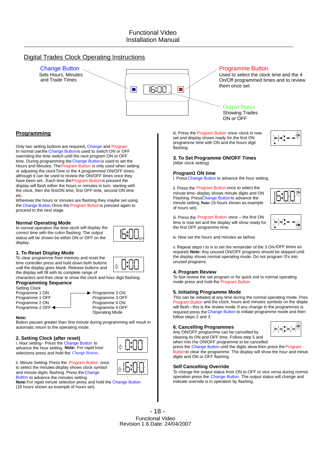# Digital Trades Clock Operating Instructions



### **Programming**

Only two setting buttons are required, Change and Program. In normal usethe Change Buttonis used to switch ON or OFF overriding the time switch until the next program ON or OFF time. During programming the Change Button is used to set the Hours and Minutes. The Program Button is only used when setting or adjusting the clockTime or the 4 programmed ON/OFF times, although it can be used to review the ON/OFF times once they have been set.. Each time the Program Buttonis pressed the display will flash either the hours or minutes in turn, starting with the clock, then the firstON time, first OFF time, second ON time etc.

Wherever the hours or minutes are flashing they maybe set using the Change Button. Once the Program Buttonis pressed again to proceed to the next stage.

#### **Normal Operating Mode**

In normal operation the time clock will display the correct time with the colon flashing. The output status will be shown be either ON or OFF on the display.



To clear programme from memory and reset the time controller press and hold down both buttons until the display goes blank. Release buttons and the display will fill with its complete range of

characters and then clear to show the clock and hour digit flashing. **Programming Sequence**

### Setting Clock



# Programme 3 OFF<br>Programme 4 ON Operating Mode

#### **Note:**

Button pauses greater than 0ne minute during programming will result in automatic return to the operating mode.

#### **2. Setting Clock (after reset)**

i. Hour setting– Press the Change Button to advance the hour setting. **Note:** For rapid hour selections press and hold the Change Button.

ii. Minute Setting- Press the Program Button once to select the minutes display shows clock symbol and minute digits flashing. Press the Change Button to advance the minutes setting.

**Note:**For rapid minute selection press and hold the Change Button (16 hours shown as example of hours set).

iii. Press the Program Button once-clock is now set and display shows ready for the first ON programme time with ON and the hours digit flashing.



#### **3. To Set Programme ON/OFF Times** (After clock setting)

#### **Program1 ON time**

i. Press Change Button to advance the hour setting.

ii. Press the Program Button once to select the minute time–display shows minute digits and ON Flashing. PressChange Button to advance the minute setting.**Note:**16 hours shown as example of hours set).



iii. Press the Program Button once – the first ON time is now set and the display will show ready for the first OFF programme time.



iv. Now set the hours and minutes as before.

v. Repeat steps I to iv to set the remainder of the 3 ON /OFF times as required.**Note:** Any unused ON/OFF programs should be skipped until the display shows normal operating mode. Do not program '0's into unused programs.

#### **4. Program Review**

To fast review the set program or for quick exit to normal operating mode press and hold the Program Button .

#### **5. Initiating Programme Mode**

This can be initiated at any time during the normal operating mode. Pres Program Button and the clock, hours and minutes symbols on the display will flash–this is the review mode. If any change to the programmes is required press theChange Button to initiate programme mode and then follow steps 2 and 3.

#### **6. Cancelling Programmes**

Any ON/OFF programme can be cancelled by clearing its ON and OFF time. Follow step 5 and



when into the ON/OFF programme to be cancelled press the Change Button until the digits show then press the Program

Buttonto clear the programme. The display will show the hour and minute digits and ON or OFF flashing.

#### **Self Cancelling Override**

To change the output status from ON to OFF or vice versa during normal operation press the Change Button. The output status will change and indicate override is in operation by flashing.

- 18 - Functional Video Revision 1.6 Date: 24/04/2007

.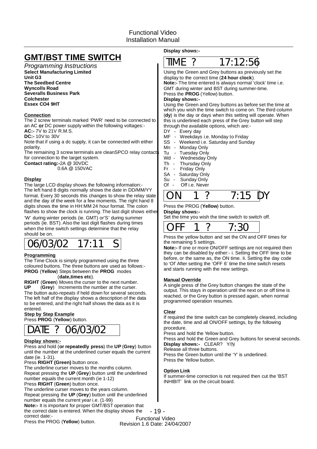# **GMT/BST TIME SWITCH**

*Programming Instructions* **Select Manufacturing Limited Unit G3 The Seedbed Centre Wyncolls Road Severalls Business Park Colchester Essex CO4 9HT**

### **Connection**

The 2 screw terminals marked 'PWR'need to be connected to an AC or DC power supply within the following voltages:-

**AC:-** 7V to 21V R.M.S.

**DC:-10V to 30V** 

Note that if using a dc supply, it can be connected with either polarity.

The remaining 3 screw terminals are cleanSPCO relay contact for connection to the target system.

**Contact rating:-2A @ 30VDC** 

0.6A @ 150VAC

### **Display**

The large LCD display shows the following information:- The left hand 8 digits normally shows the date in DD/MM/YY format. Every 30 seconds this changes to show the relay state and the day of the week for a few moments. The right hand 8 digits shows the time in HH:MM 24 hour format. The colon flashes to show the clock is running. The last digit shows either 'W' during winter periods (ie. GMT) or'S' during summer periods (ie. BST). Also the last digit flashes during times when the time switch settings determine that the relay should be on.



### **Programming**

The Time Clock is simply programmed using the three coloured buttons. The three buttons are used as follows:- **PROG** (Yellow) Steps between the PROG modes

( ). **date,times etc**

RIGHT (Green) Moves the curser to the next number. UP (Grey) Increments the number at the curser. The button auto-repeats if held down for several seconds. The left half of the display shows a description of the data to be entered, and the right half shows the data as it is entered.

### **Step by Step Example**

Press PROG (Yellow) button.

# DATE ? 06/03/02

### **Display shows:-**

**Press and hold (or repeatedly press) the UP (Grey) button** until the number at the underlined curser equals the current date (ie. 1-31).

Press RIGHT (Green) button once.

The underline curser moves to the months column. Repeat pressing the UP (Grey) button until the underlined number equals the current month (ie 1-12)

Press RIGHT (Green) button once.

The underline curser moves to the years column.

Repeat pressing the UP (Grey) button until the underlined

number equals the current year i.e. (1-99)

Note:- It is important for proper GMT/BST operation that the correct date is entered. When the display shows the correct date:-

Press the PROG (Yellow) button.

**Display shows:-**



display to the correct time (24 hour clock). Using the Green and Grey buttons as previously set the

**Note:-** The time entered is always normal 'clock'time i.e. Press the **PROG** (Yellow) button. GMT during winter and BST during summer-time.

### **Display shows:-**

(dy) is the day or days when this setting will operate. When Using the Green and Grey buttons as before set the time at which you wish the time switch to come on. The third column this is underlined each press of the Grey button will step through the available options, which are:-

DY - Every day

- MF Weekdays i.e. Monday to Friday
- SS Weekend i.e. Saturday and Sunday
- Mn Monday Only
- 
- Tu Tuesday Only<br>Wd Wednesday C Wednesday Only
- 
- Th Thursday Only<br>Fr Friday Only Fr - Friday Only<br>SA - Saturday Or
- SA Saturday Only<br>Su Sunday Only
- Sunday Only
- Of Off i.e. Never



#### Press the PROG (Yellow) button.

#### **Display shows:-**

Set the time you wish the time switch to switch off.



Press the yellow button and set the ON and OFF times for the remaining 5 settings.

Note:- If one or more ON/OFF settings are not required then they can be disabled by either:- i. Setting the OFF time to be before, or the same as, the ON time. Ii. Setting the day code to 'Of' After setting the 'OFF 6' time the time switch resets and starts running with the new settings.

#### **Manual Override**

A single press of the Grey button changes the state of the output. This stays in operation until the next on or off time is reached, or the Grey button is pressed again, when normal programmed operation resumes.

### **Clear**

If required the time switch can be completely cleared, including the date, time and all ON/OFF settings, by the following procedure.

Press and hold the Yellow button.

Press and hold the Green and Grey buttons for several seconds. **Display shows:-** CLEAR? Y/N

Release all three buttons.

Press the Green button until the 'Y' is underlined. Press the Yellow button.

### **Option Link**

If summer-time correction is not required then cut the 'BST INHIBIT' link on the circuit board.

- 19 - Functional Video Revision 1.6 Date: 24/04/2007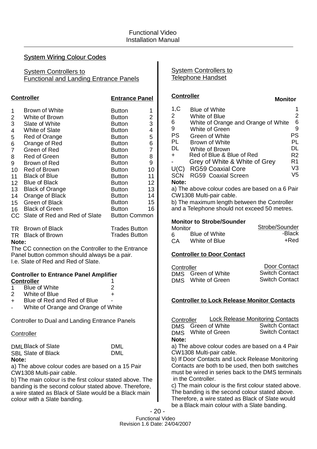# System Wiring Colour Codes

**System Controllers to** Functional and Landing Entrance Panels

|                                                                                                                                                                                                                                               | <b>Controller</b>                                                                                                                                                                                                                                                                                                  | <b>Entrance Panel</b>                                                                                                                                                                                                                                          |                                                                                                  |  |  |  |  |
|-----------------------------------------------------------------------------------------------------------------------------------------------------------------------------------------------------------------------------------------------|--------------------------------------------------------------------------------------------------------------------------------------------------------------------------------------------------------------------------------------------------------------------------------------------------------------------|----------------------------------------------------------------------------------------------------------------------------------------------------------------------------------------------------------------------------------------------------------------|--------------------------------------------------------------------------------------------------|--|--|--|--|
| 1<br>$\overline{\mathbf{c}}$<br>3<br>4<br>5<br>6<br>$\overline{7}$<br>8<br>9<br>14                                                                                                                                                            | Brown of White<br>White of Brown<br>Slate of White<br><b>White of Slate</b><br>Red of Orange<br>Orange of Red<br>Green of Red<br><b>Red of Green</b><br>Brown of Red<br>10 Red of Brown<br>11 Black of Blue<br>12 Blue of Black<br>13 Black of Orange<br>Orange of Black<br>15 Green of Black<br>16 Black of Green | <b>Button</b><br><b>Button</b><br><b>Button</b><br><b>Button</b><br><b>Button</b><br><b>Button</b><br><b>Button</b><br><b>Button</b><br><b>Button</b><br><b>Button</b><br><b>Button</b><br>Button<br>Button<br><b>Button</b><br><b>Button</b><br><b>Button</b> | 1<br>2<br>3<br>4<br>5<br>6<br>$\overline{7}$<br>8<br>9<br>10<br>11<br>12<br>13<br>14<br>15<br>16 |  |  |  |  |
|                                                                                                                                                                                                                                               | CC Slate of Red and Red of Slate                                                                                                                                                                                                                                                                                   | <b>Button Common</b>                                                                                                                                                                                                                                           |                                                                                                  |  |  |  |  |
| TR Brown of Black<br><b>Trades Button</b><br><b>Trades Button</b><br>TR Black of Brown<br>Note:<br>The CC connection on the Controller to the Entrance<br>Panel button common should always be a pair.<br>I.e. Slate of Red and Red of Slate. |                                                                                                                                                                                                                                                                                                                    |                                                                                                                                                                                                                                                                |                                                                                                  |  |  |  |  |
| <b>Controller to Entrance Panel Amplifier</b><br><b>Controller</b><br>1                                                                                                                                                                       |                                                                                                                                                                                                                                                                                                                    |                                                                                                                                                                                                                                                                |                                                                                                  |  |  |  |  |

|               | Blue of White               |   |
|---------------|-----------------------------|---|
| $\mathcal{P}$ | White of Blue               | + |
| $+$           | Blue of Red and Red of Blue | - |

- White of Orange and Orange of White

Controller to Dual and Landing Entrance Panels

### **Controller**

DML Black of Slate SBL Slate of Black **Note:**

DML DML

a) The above colour codes are based on a 15 Pair CW1308 Multi-pair cable.

b) The main colour is the first colour stated above. The banding is the second colour stated above. Therefore, a wire stated as Black of Slate would be a Black main colour with a Slate banding.

System Controllers to Telephone Handset

## **Controller**

| 1,C<br>2   | Blue of White<br>White of Blue      | 2  |
|------------|-------------------------------------|----|
| 6          | White of Orange and Orange of White | 6  |
| 9          | White of Green                      | 9  |
| <b>PS</b>  | Green of White                      | PS |
| <b>PL</b>  | Brown of White                      | PL |
| DL         | White of Brown                      | DL |
| $\div$     | Red of Blue & Blue of Red           | R2 |
|            | Grey of White & White of Grey       | R1 |
| U(C)       | <b>RG59 Coaxial Core</b>            | V3 |
| <b>SCN</b> | RG59 Coaxial Screen                 | V5 |
| Note:      |                                     |    |
|            |                                     |    |

**Monitor**

a) The above colour codes are based on a 6 Pair CW1308 Multi-pair cable.

b) The maximum length between the Controller and a Telephone should not exceed 50 metres.

### **Monitor to Strobe/Sounder**

| Monitor |               | Strobe/Sounder |
|---------|---------------|----------------|
| հ       | Blue of White | -Black         |
| CА      | White of Blue | +Red           |

# **Controller to Door Contact**

| Controller         | Door Contact          |  |  |
|--------------------|-----------------------|--|--|
| DMS Green of White | <b>Switch Contact</b> |  |  |
| DMS White of Green | <b>Switch Contact</b> |  |  |

# **Controller to Lock Release Monitor Contacts**

DMS DMS **Note: Controller** Green of White White of Green Switch Contact Switch Contact Lock Release Monitoring Contacts

a) The above colour codes are based on a 4 Pair CW1308 Multi-pair cable.

b) If Door Contacts and Lock Release Monitoring Contacts are both to be used, then both switches must be wired in series back to the DMS terminals in the Controller.

c) The main colour is the first colour stated above. The banding is the second colour stated above. Therefore, a wire stated as Black of Slate would be a Black main colour with a Slate banding.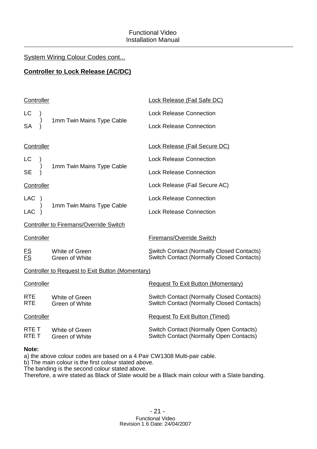# System Wiring Colour Codes cont...

# **Controller to Lock Release (AC/DC)**

|                                                         | <b>Lock Release (Fail Safe DC)</b>                                                                                                                                      |  |  |  |  |
|---------------------------------------------------------|-------------------------------------------------------------------------------------------------------------------------------------------------------------------------|--|--|--|--|
|                                                         | <b>Lock Release Connection</b>                                                                                                                                          |  |  |  |  |
|                                                         | <b>Lock Release Connection</b>                                                                                                                                          |  |  |  |  |
|                                                         | <b>Lock Release (Fail Secure DC)</b>                                                                                                                                    |  |  |  |  |
|                                                         | <b>Lock Release Connection</b>                                                                                                                                          |  |  |  |  |
|                                                         | <b>Lock Release Connection</b>                                                                                                                                          |  |  |  |  |
|                                                         | Lock Release (Fail Secure AC)                                                                                                                                           |  |  |  |  |
|                                                         | <b>Lock Release Connection</b>                                                                                                                                          |  |  |  |  |
|                                                         | <b>Lock Release Connection</b>                                                                                                                                          |  |  |  |  |
| <b>Controller to Firemans/Override Switch</b>           |                                                                                                                                                                         |  |  |  |  |
|                                                         | <b>Firemans/Override Switch</b>                                                                                                                                         |  |  |  |  |
| White of Green<br>Green of White                        | Switch Contact (Normally Closed Contacts)<br><b>Switch Contact (Normally Closed Contacts)</b>                                                                           |  |  |  |  |
| <b>Controller to Request to Exit Button (Momentary)</b> |                                                                                                                                                                         |  |  |  |  |
|                                                         | <b>Request To Exit Button (Momentary)</b>                                                                                                                               |  |  |  |  |
| White of Green<br><b>Green of White</b>                 | <b>Switch Contact (Normally Closed Contacts)</b><br><b>Switch Contact (Normally Closed Contacts)</b>                                                                    |  |  |  |  |
|                                                         | <b>Request To Exit Button (Timed)</b>                                                                                                                                   |  |  |  |  |
| White of Green<br>Green of White                        | <b>Switch Contact (Normally Open Contacts)</b><br><b>Switch Contact (Normally Open Contacts)</b>                                                                        |  |  |  |  |
|                                                         | Controller<br>1mm Twin Mains Type Cable<br>Controller<br>1mm Twin Mains Type Cable<br>Controller<br>1mm Twin Mains Type Cable<br>Controller<br>Controller<br>Controller |  |  |  |  |

# **Note:**

a) the above colour codes are based on a 4 Pair CW1308 Multi-pair cable.

b) The main colour is the first colour stated above.

The banding is the second colour stated above.

Therefore, a wire stated as Black of Slate would be a Black main colour with a Slate banding.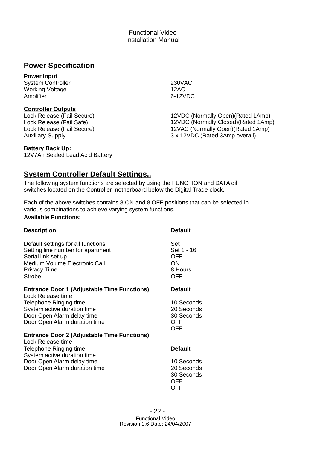# **Power Specification**

# **Power Input**

System Controller Working Voltage Amplifier

# **Controller Outputs**

Lock Release (Fail Secure) Lock Release (Fail Safe) Lock Release (Fail Secure) Auxiliary Supply

# 230VAC 12AC 6-12VDC

12VDC (Normally Open)(Rated 1Amp) 12VDC (Normally Closed)(Rated 1Amp) 12VAC (Normally Open)(Rated 1Amp) 3 x 12VDC (Rated 3Amp overall)

# **Battery Back Up:**

12V7Ah Sealed Lead Acid Battery

# **System Controller Default Settings..**

The following system functions are selected by using the FUNCTION and DATA dil switches located on the Controller motherboard below the Digital Trade clock.

Each of the above switches contains 8 ON and 8 OFF positions that can be selected in various combinations to achieve varying system functions. **Available Functions:**

| <b>Description</b>                                                                                                                                                     | <b>Default</b>                                                     |
|------------------------------------------------------------------------------------------------------------------------------------------------------------------------|--------------------------------------------------------------------|
| Default settings for all functions<br>Setting line number for apartment<br>Serial link set up<br>Medium Volume Electronic Call<br><b>Privacy Time</b><br><b>Strobe</b> | Set<br>Set 1 - 16<br>OFF<br><b>ON</b><br>8 Hours<br><b>OFF</b>     |
| <b>Entrance Door 1 (Adjustable Time Functions)</b>                                                                                                                     | <b>Default</b>                                                     |
| Lock Release time<br>Telephone Ringing time<br>System active duration time<br>Door Open Alarm delay time<br>Door Open Alarm duration time                              | 10 Seconds<br>20 Seconds<br>30 Seconds<br><b>OFF</b><br><b>OFF</b> |
| <b>Entrance Door 2 (Adjustable Time Functions)</b><br>Lock Release time                                                                                                |                                                                    |
| Telephone Ringing time<br>System active duration time                                                                                                                  | <b>Default</b>                                                     |
| Door Open Alarm delay time<br>Door Open Alarm duration time                                                                                                            | 10 Seconds<br>20 Seconds<br>30 Seconds<br>OFF<br>OFF               |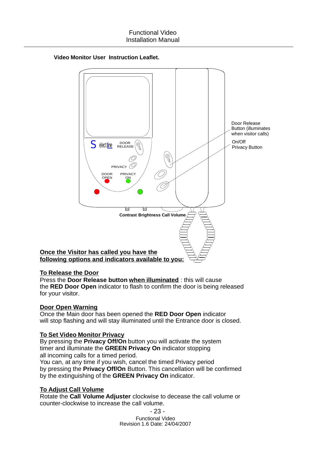

# **Video Monitor User Instruction Leaflet.**

**To Release the Door**

the RED Door Open indicator to flash to confirm the door is being released for your visitor. Press the **Door Release button when illuminated**: this will cause

# **Door Open Warning**

Once the Main door has been opened the RED Door Open indicator will stop flashing and will stay illuminated until the Entrance door is closed.

# **To Set Video Monitor Privacy**

By pressing the **Privacy Off/On** button you will activate the system timer and illuminate the GREEN Privacy On indicator stopping all incoming calls for a timed period.

by pressing the **Privacy Off/On** Button. This cancellation will be confirmed by the extinguishing of the GREEN Privacy On indicator. You can, at any time if you wish, cancel the timed Privacy period

# **To Adjust Call Volume**

Rotate the **Call Volume Adjuster** clockwise to decease the call volume or counter-clockwise to increase the call volume.

- 23 -

Functional Video Revision 1.6 Date: 24/04/2007